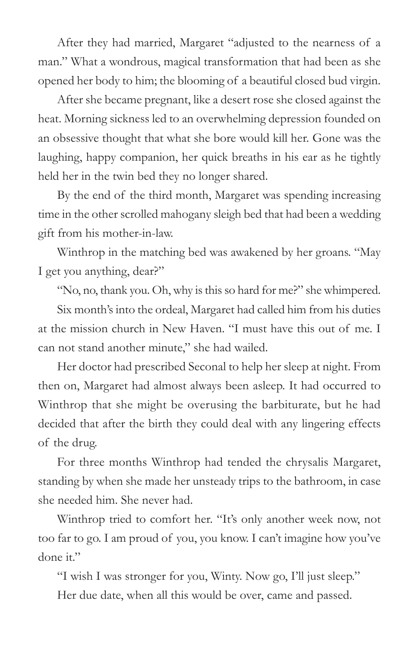After they had married, Margaret "adjusted to the nearness of a man." What a wondrous, magical transformation that had been as she opened her body to him; the blooming of a beautiful closed bud virgin.

After she became pregnant, like a desert rose she closed against the heat. Morning sickness led to an overwhelming depression founded on an obsessive thought that what she bore would kill her. Gone was the laughing, happy companion, her quick breaths in his ear as he tightly held her in the twin bed they no longer shared.

By the end of the third month, Margaret was spending increasing time in the other scrolled mahogany sleigh bed that had been a wedding gift from his mother-in-law.

Winthrop in the matching bed was awakened by her groans. "May I get you anything, dear?"

"No, no, thank you. Oh, why is this so hard for me?" she whimpered.

Six month's into the ordeal, Margaret had called him from his duties at the mission church in New Haven. "I must have this out of me. I can not stand another minute," she had wailed.

Her doctor had prescribed Seconal to help her sleep at night. From then on, Margaret had almost always been asleep. It had occurred to Winthrop that she might be overusing the barbiturate, but he had decided that after the birth they could deal with any lingering effects of the drug.

For three months Winthrop had tended the chrysalis Margaret, standing by when she made her unsteady trips to the bathroom, in case she needed him. She never had.

Winthrop tried to comfort her. "It's only another week now, not too far to go. I am proud of you, you know. I can't imagine how you've done it."

"I wish I was stronger for you, Winty. Now go, I'll just sleep." Her due date, when all this would be over, came and passed.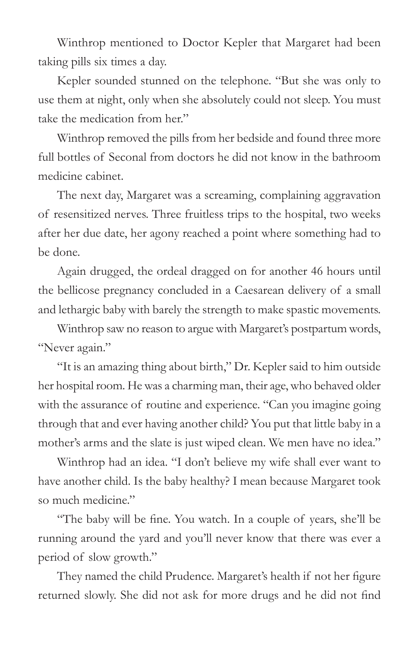Winthrop mentioned to Doctor Kepler that Margaret had been taking pills six times a day.

Kepler sounded stunned on the telephone. "But she was only to use them at night, only when she absolutely could not sleep. You must take the medication from her."

Winthrop removed the pills from her bedside and found three more full bottles of Seconal from doctors he did not know in the bathroom medicine cabinet.

The next day, Margaret was a screaming, complaining aggravation of resensitized nerves. Three fruitless trips to the hospital, two weeks after her due date, her agony reached a point where something had to be done.

Again drugged, the ordeal dragged on for another 46 hours until the bellicose pregnancy concluded in a Caesarean delivery of a small and lethargic baby with barely the strength to make spastic movements.

Winthrop saw no reason to argue with Margaret's postpartum words, "Never again."

"It is an amazing thing about birth," Dr. Kepler said to him outside her hospital room. He was a charming man, their age, who behaved older with the assurance of routine and experience. "Can you imagine going through that and ever having another child? You put that little baby in a mother's arms and the slate is just wiped clean. We men have no idea."

Winthrop had an idea. "I don't believe my wife shall ever want to have another child. Is the baby healthy? I mean because Margaret took so much medicine."

"The baby will be fine. You watch. In a couple of years, she'll be running around the yard and you'll never know that there was ever a period of slow growth."

They named the child Prudence. Margaret's health if not her figure returned slowly. She did not ask for more drugs and he did not find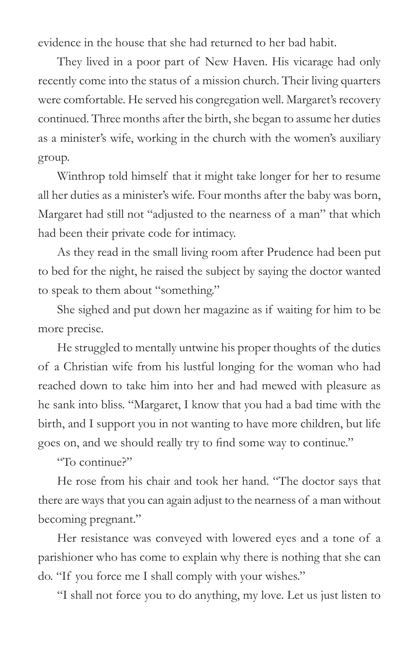evidence in the house that she had returned to her bad habit.

They lived in a poor part of New Haven. His vicarage had only recently come into the status of a mission church. Their living quarters were comfortable. He served his congregation well. Margaret's recovery continued. Three months after the birth, she began to assume her duties as a minister's wife, working in the church with the women's auxiliary group.

Winthrop told himself that it might take longer for her to resume all her duties as a minister's wife. Four months after the baby was born, Margaret had still not "adjusted to the nearness of a man" that which had been their private code for intimacy.

As they read in the small living room after Prudence had been put to bed for the night, he raised the subject by saying the doctor wanted to speak to them about "something."

She sighed and put down her magazine as if waiting for him to be more precise.

He struggled to mentally untwine his proper thoughts of the duties of a Christian wife from his lustful longing for the woman who had reached down to take him into her and had mewed with pleasure as he sank into bliss. "Margaret, I know that you had a bad time with the birth, and I support you in not wanting to have more children, but life goes on, and we should really try to find some way to continue."

"To continue?"

He rose from his chair and took her hand. "The doctor says that there are ways that you can again adjust to the nearness of a man without becoming pregnant."

Her resistance was conveyed with lowered eyes and a tone of a parishioner who has come to explain why there is nothing that she can do. "If you force me I shall comply with your wishes."

"I shall not force you to do anything, my love. Let us just listen to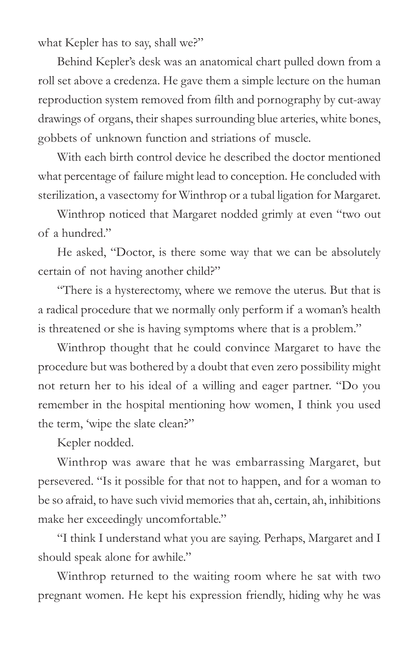what Kepler has to say, shall we?"

Behind Kepler's desk was an anatomical chart pulled down from a roll set above a credenza. He gave them a simple lecture on the human reproduction system removed from filth and pornography by cut-away drawings of organs, their shapes surrounding blue arteries, white bones, gobbets of unknown function and striations of muscle.

With each birth control device he described the doctor mentioned what percentage of failure might lead to conception. He concluded with sterilization, a vasectomy for Winthrop or a tubal ligation for Margaret.

Winthrop noticed that Margaret nodded grimly at even "two out of a hundred."

He asked, "Doctor, is there some way that we can be absolutely certain of not having another child?"

"There is a hysterectomy, where we remove the uterus. But that is a radical procedure that we normally only perform if a woman's health is threatened or she is having symptoms where that is a problem."

Winthrop thought that he could convince Margaret to have the procedure but was bothered by a doubt that even zero possibility might not return her to his ideal of a willing and eager partner. "Do you remember in the hospital mentioning how women, I think you used the term, 'wipe the slate clean?"

Kepler nodded.

Winthrop was aware that he was embarrassing Margaret, but persevered. "Is it possible for that not to happen, and for a woman to be so afraid, to have such vivid memories that ah, certain, ah, inhibitions make her exceedingly uncomfortable."

"I think I understand what you are saying. Perhaps, Margaret and I should speak alone for awhile."

Winthrop returned to the waiting room where he sat with two pregnant women. He kept his expression friendly, hiding why he was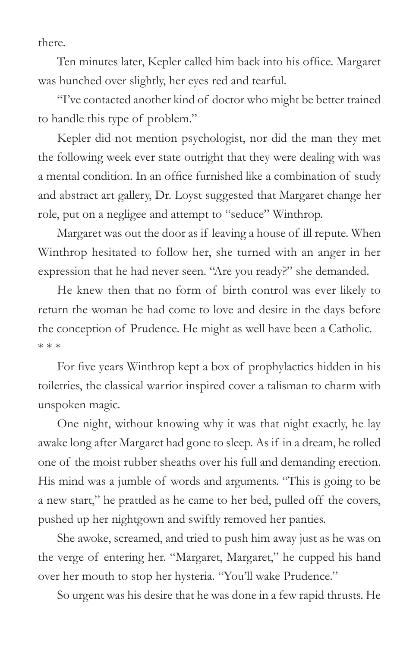there.

Ten minutes later, Kepler called him back into his office. Margaret was hunched over slightly, her eyes red and tearful.

"I've contacted another kind of doctor who might be better trained to handle this type of problem."

Kepler did not mention psychologist, nor did the man they met the following week ever state outright that they were dealing with was a mental condition. In an office furnished like a combination of study and abstract art gallery, Dr. Loyst suggested that Margaret change her role, put on a negligee and attempt to "seduce" Winthrop.

Margaret was out the door as if leaving a house of ill repute. When Winthrop hesitated to follow her, she turned with an anger in her expression that he had never seen. "Are you ready?" she demanded.

He knew then that no form of birth control was ever likely to return the woman he had come to love and desire in the days before the conception of Prudence. He might as well have been a Catholic. \* \* \*

For five years Winthrop kept a box of prophylactics hidden in his toiletries, the classical warrior inspired cover a talisman to charm with unspoken magic.

One night, without knowing why it was that night exactly, he lay awake long after Margaret had gone to sleep. As if in a dream, he rolled one of the moist rubber sheaths over his full and demanding erection. His mind was a jumble of words and arguments. "This is going to be a new start," he prattled as he came to her bed, pulled off the covers, pushed up her nightgown and swiftly removed her panties.

She awoke, screamed, and tried to push him away just as he was on the verge of entering her. "Margaret, Margaret," he cupped his hand over her mouth to stop her hysteria. "You'll wake Prudence."

So urgent was his desire that he was done in a few rapid thrusts. He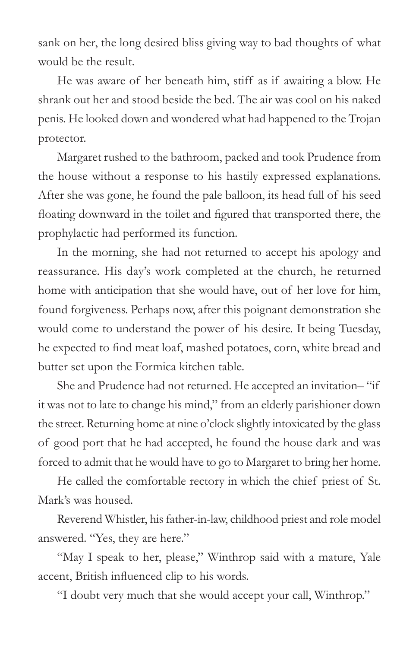sank on her, the long desired bliss giving way to bad thoughts of what would be the result.

He was aware of her beneath him, stiff as if awaiting a blow. He shrank out her and stood beside the bed. The air was cool on his naked penis. He looked down and wondered what had happened to the Trojan protector.

Margaret rushed to the bathroom, packed and took Prudence from the house without a response to his hastily expressed explanations. After she was gone, he found the pale balloon, its head full of his seed floating downward in the toilet and figured that transported there, the prophylactic had performed its function.

In the morning, she had not returned to accept his apology and reassurance. His day's work completed at the church, he returned home with anticipation that she would have, out of her love for him, found forgiveness. Perhaps now, after this poignant demonstration she would come to understand the power of his desire. It being Tuesday, he expected to find meat loaf, mashed potatoes, corn, white bread and butter set upon the Formica kitchen table.

She and Prudence had not returned. He accepted an invitation– "if it was not to late to change his mind," from an elderly parishioner down the street. Returning home at nine o'clock slightly intoxicated by the glass of good port that he had accepted, he found the house dark and was forced to admit that he would have to go to Margaret to bring her home.

He called the comfortable rectory in which the chief priest of St. Mark's was housed.

Reverend Whistler, his father-in-law, childhood priest and role model answered. "Yes, they are here."

"May I speak to her, please," Winthrop said with a mature, Yale accent, British influenced clip to his words.

"I doubt very much that she would accept your call, Winthrop."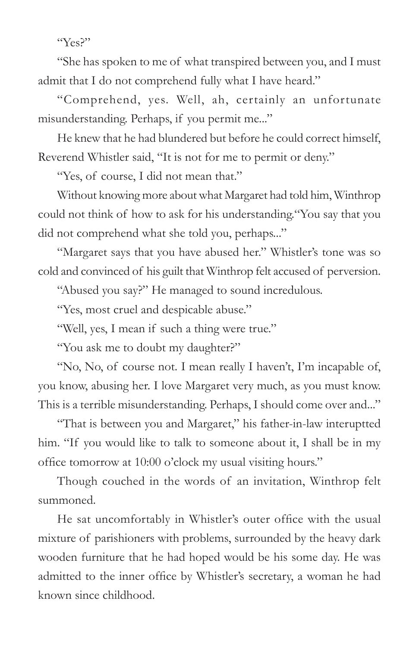"Yes?"

"She has spoken to me of what transpired between you, and I must admit that I do not comprehend fully what I have heard."

"Comprehend, yes. Well, ah, certainly an unfortunate misunderstanding. Perhaps, if you permit me..."

He knew that he had blundered but before he could correct himself, Reverend Whistler said, "It is not for me to permit or deny."

"Yes, of course, I did not mean that."

Without knowing more about what Margaret had told him, Winthrop could not think of how to ask for his understanding."You say that you did not comprehend what she told you, perhaps..."

"Margaret says that you have abused her." Whistler's tone was so cold and convinced of his guilt that Winthrop felt accused of perversion.

"Abused you say?" He managed to sound incredulous.

"Yes, most cruel and despicable abuse."

"Well, yes, I mean if such a thing were true."

"You ask me to doubt my daughter?"

"No, No, of course not. I mean really I haven't, I'm incapable of, you know, abusing her. I love Margaret very much, as you must know. This is a terrible misunderstanding. Perhaps, I should come over and..."

"That is between you and Margaret," his father-in-law interuptted him. "If you would like to talk to someone about it, I shall be in my office tomorrow at 10:00 o'clock my usual visiting hours."

Though couched in the words of an invitation, Winthrop felt summoned.

He sat uncomfortably in Whistler's outer office with the usual mixture of parishioners with problems, surrounded by the heavy dark wooden furniture that he had hoped would be his some day. He was admitted to the inner office by Whistler's secretary, a woman he had known since childhood.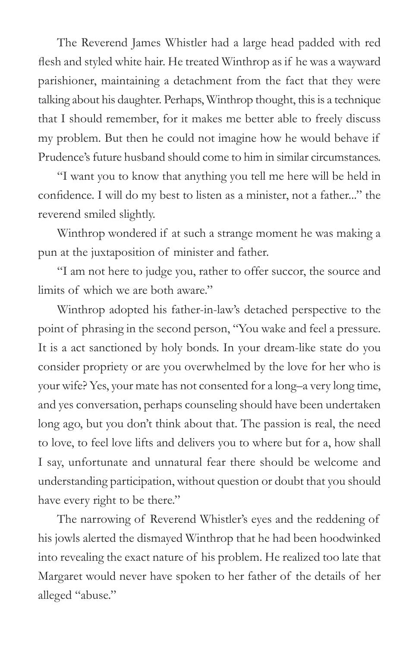The Reverend James Whistler had a large head padded with red flesh and styled white hair. He treated Winthrop as if he was a wayward parishioner, maintaining a detachment from the fact that they were talking about his daughter. Perhaps, Winthrop thought, this is a technique that I should remember, for it makes me better able to freely discuss my problem. But then he could not imagine how he would behave if Prudence's future husband should come to him in similar circumstances.

"I want you to know that anything you tell me here will be held in confidence. I will do my best to listen as a minister, not a father..." the reverend smiled slightly.

Winthrop wondered if at such a strange moment he was making a pun at the juxtaposition of minister and father.

"I am not here to judge you, rather to offer succor, the source and limits of which we are both aware."

Winthrop adopted his father-in-law's detached perspective to the point of phrasing in the second person, "You wake and feel a pressure. It is a act sanctioned by holy bonds. In your dream-like state do you consider propriety or are you overwhelmed by the love for her who is your wife? Yes, your mate has not consented for a long–a very long time, and yes conversation, perhaps counseling should have been undertaken long ago, but you don't think about that. The passion is real, the need to love, to feel love lifts and delivers you to where but for a, how shall I say, unfortunate and unnatural fear there should be welcome and understanding participation, without question or doubt that you should have every right to be there."

The narrowing of Reverend Whistler's eyes and the reddening of his jowls alerted the dismayed Winthrop that he had been hoodwinked into revealing the exact nature of his problem. He realized too late that Margaret would never have spoken to her father of the details of her alleged "abuse."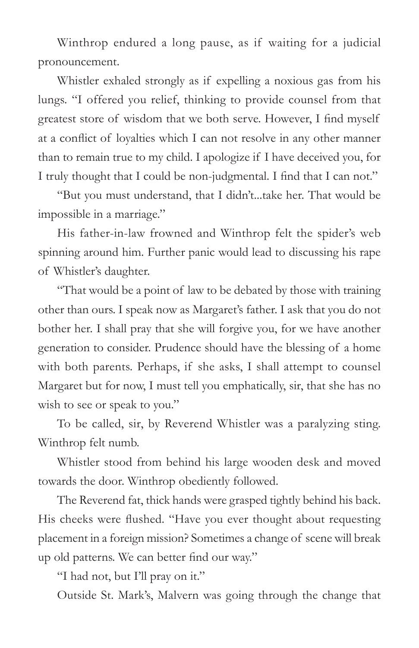Winthrop endured a long pause, as if waiting for a judicial pronouncement.

Whistler exhaled strongly as if expelling a noxious gas from his lungs. "I offered you relief, thinking to provide counsel from that greatest store of wisdom that we both serve. However, I find myself at a conflict of loyalties which I can not resolve in any other manner than to remain true to my child. I apologize if I have deceived you, for I truly thought that I could be non-judgmental. I find that I can not."

"But you must understand, that I didn't...take her. That would be impossible in a marriage."

His father-in-law frowned and Winthrop felt the spider's web spinning around him. Further panic would lead to discussing his rape of Whistler's daughter.

"That would be a point of law to be debated by those with training other than ours. I speak now as Margaret's father. I ask that you do not bother her. I shall pray that she will forgive you, for we have another generation to consider. Prudence should have the blessing of a home with both parents. Perhaps, if she asks, I shall attempt to counsel Margaret but for now, I must tell you emphatically, sir, that she has no wish to see or speak to you."

To be called, sir, by Reverend Whistler was a paralyzing sting. Winthrop felt numb.

Whistler stood from behind his large wooden desk and moved towards the door. Winthrop obediently followed.

The Reverend fat, thick hands were grasped tightly behind his back. His cheeks were flushed. "Have you ever thought about requesting placement in a foreign mission? Sometimes a change of scene will break up old patterns. We can better find our way."

"I had not, but I'll pray on it."

Outside St. Mark's, Malvern was going through the change that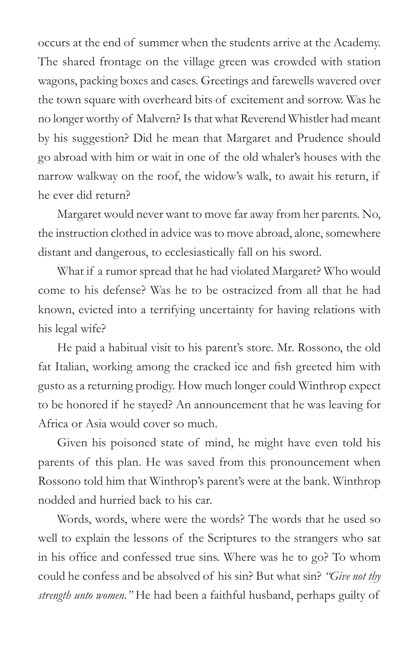occurs at the end of summer when the students arrive at the Academy. The shared frontage on the village green was crowded with station wagons, packing boxes and cases. Greetings and farewells wavered over the town square with overheard bits of excitement and sorrow. Was he no longer worthy of Malvern? Is that what Reverend Whistler had meant by his suggestion? Did he mean that Margaret and Prudence should go abroad with him or wait in one of the old whaler's houses with the narrow walkway on the roof, the widow's walk, to await his return, if he ever did return?

Margaret would never want to move far away from her parents. No, the instruction clothed in advice was to move abroad, alone, somewhere distant and dangerous, to ecclesiastically fall on his sword.

What if a rumor spread that he had violated Margaret? Who would come to his defense? Was he to be ostracized from all that he had known, evicted into a terrifying uncertainty for having relations with his legal wife?

He paid a habitual visit to his parent's store. Mr. Rossono, the old fat Italian, working among the cracked ice and fish greeted him with gusto as a returning prodigy. How much longer could Winthrop expect to be honored if he stayed? An announcement that he was leaving for Africa or Asia would cover so much.

Given his poisoned state of mind, he might have even told his parents of this plan. He was saved from this pronouncement when Rossono told him that Winthrop's parent's were at the bank. Winthrop nodded and hurried back to his car.

Words, words, where were the words? The words that he used so well to explain the lessons of the Scriptures to the strangers who sat in his office and confessed true sins. Where was he to go? To whom could he confess and be absolved of his sin? But what sin? *"Give not thy strength unto women."* He had been a faithful husband, perhaps guilty of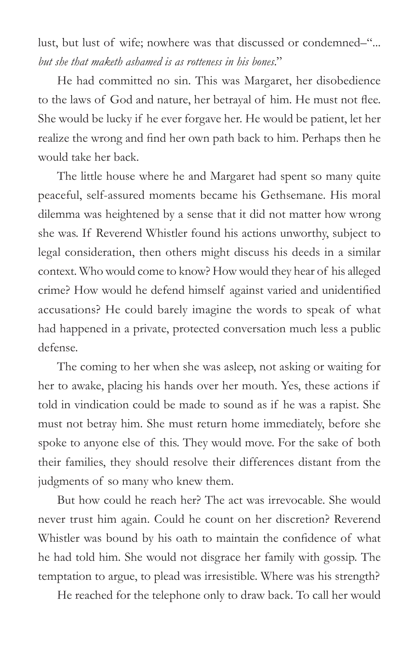lust, but lust of wife; nowhere was that discussed or condemned–"... *but she that maketh ashamed is as rotteness in his bones*."

He had committed no sin. This was Margaret, her disobedience to the laws of God and nature, her betrayal of him. He must not flee. She would be lucky if he ever forgave her. He would be patient, let her realize the wrong and find her own path back to him. Perhaps then he would take her back.

The little house where he and Margaret had spent so many quite peaceful, self-assured moments became his Gethsemane. His moral dilemma was heightened by a sense that it did not matter how wrong she was. If Reverend Whistler found his actions unworthy, subject to legal consideration, then others might discuss his deeds in a similar context. Who would come to know? How would they hear of his alleged crime? How would he defend himself against varied and unidentified accusations? He could barely imagine the words to speak of what had happened in a private, protected conversation much less a public defense.

The coming to her when she was asleep, not asking or waiting for her to awake, placing his hands over her mouth. Yes, these actions if told in vindication could be made to sound as if he was a rapist. She must not betray him. She must return home immediately, before she spoke to anyone else of this. They would move. For the sake of both their families, they should resolve their differences distant from the judgments of so many who knew them.

But how could he reach her? The act was irrevocable. She would never trust him again. Could he count on her discretion? Reverend Whistler was bound by his oath to maintain the confidence of what he had told him. She would not disgrace her family with gossip. The temptation to argue, to plead was irresistible. Where was his strength?

He reached for the telephone only to draw back. To call her would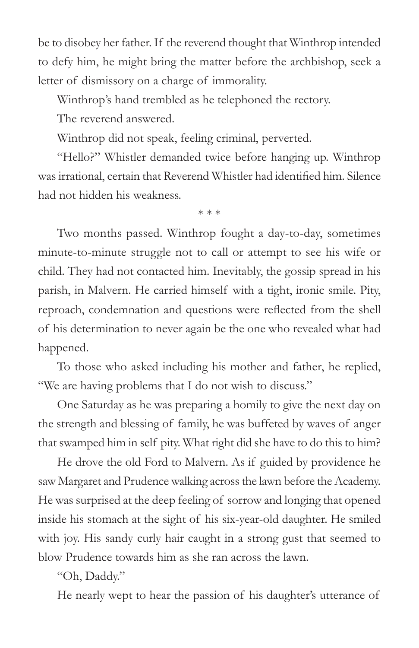be to disobey her father. If the reverend thought that Winthrop intended to defy him, he might bring the matter before the archbishop, seek a letter of dismissory on a charge of immorality.

Winthrop's hand trembled as he telephoned the rectory.

The reverend answered.

Winthrop did not speak, feeling criminal, perverted.

"Hello?" Whistler demanded twice before hanging up. Winthrop was irrational, certain that Reverend Whistler had identified him. Silence had not hidden his weakness.

\* \* \*

Two months passed. Winthrop fought a day-to-day, sometimes minute-to-minute struggle not to call or attempt to see his wife or child. They had not contacted him. Inevitably, the gossip spread in his parish, in Malvern. He carried himself with a tight, ironic smile. Pity, reproach, condemnation and questions were reflected from the shell of his determination to never again be the one who revealed what had happened.

To those who asked including his mother and father, he replied, "We are having problems that I do not wish to discuss."

One Saturday as he was preparing a homily to give the next day on the strength and blessing of family, he was buffeted by waves of anger that swamped him in self pity. What right did she have to do this to him?

He drove the old Ford to Malvern. As if guided by providence he saw Margaret and Prudence walking across the lawn before the Academy. He was surprised at the deep feeling of sorrow and longing that opened inside his stomach at the sight of his six-year-old daughter. He smiled with joy. His sandy curly hair caught in a strong gust that seemed to blow Prudence towards him as she ran across the lawn.

"Oh, Daddy."

He nearly wept to hear the passion of his daughter's utterance of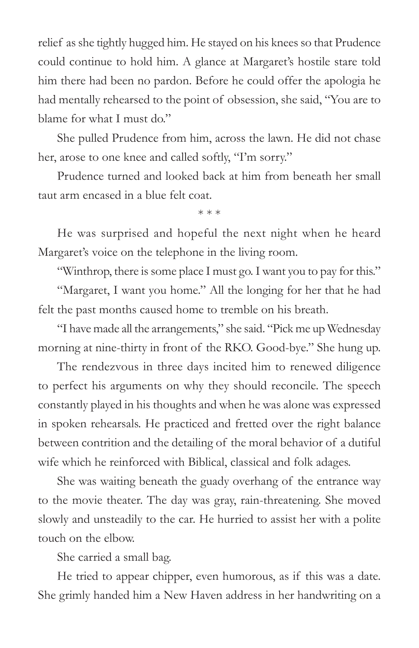relief as she tightly hugged him. He stayed on his knees so that Prudence could continue to hold him. A glance at Margaret's hostile stare told him there had been no pardon. Before he could offer the apologia he had mentally rehearsed to the point of obsession, she said, "You are to blame for what I must do."

She pulled Prudence from him, across the lawn. He did not chase her, arose to one knee and called softly, "I'm sorry."

Prudence turned and looked back at him from beneath her small taut arm encased in a blue felt coat.

\* \* \*

He was surprised and hopeful the next night when he heard Margaret's voice on the telephone in the living room.

"Winthrop, there is some place I must go. I want you to pay for this."

"Margaret, I want you home." All the longing for her that he had felt the past months caused home to tremble on his breath.

"I have made all the arrangements," she said. "Pick me up Wednesday morning at nine-thirty in front of the RKO. Good-bye." She hung up.

The rendezvous in three days incited him to renewed diligence to perfect his arguments on why they should reconcile. The speech constantly played in his thoughts and when he was alone was expressed in spoken rehearsals. He practiced and fretted over the right balance between contrition and the detailing of the moral behavior of a dutiful wife which he reinforced with Biblical, classical and folk adages.

She was waiting beneath the guady overhang of the entrance way to the movie theater. The day was gray, rain-threatening. She moved slowly and unsteadily to the car. He hurried to assist her with a polite touch on the elbow.

She carried a small bag.

He tried to appear chipper, even humorous, as if this was a date. She grimly handed him a New Haven address in her handwriting on a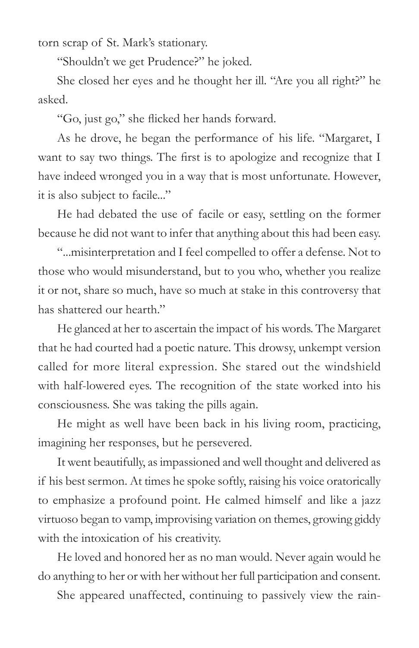torn scrap of St. Mark's stationary.

"Shouldn't we get Prudence?" he joked.

She closed her eyes and he thought her ill. "Are you all right?" he asked.

"Go, just go," she flicked her hands forward.

As he drove, he began the performance of his life. "Margaret, I want to say two things. The first is to apologize and recognize that I have indeed wronged you in a way that is most unfortunate. However, it is also subject to facile..."

He had debated the use of facile or easy, settling on the former because he did not want to infer that anything about this had been easy.

"...misinterpretation and I feel compelled to offer a defense. Not to those who would misunderstand, but to you who, whether you realize it or not, share so much, have so much at stake in this controversy that has shattered our hearth"

He glanced at her to ascertain the impact of his words. The Margaret that he had courted had a poetic nature. This drowsy, unkempt version called for more literal expression. She stared out the windshield with half-lowered eyes. The recognition of the state worked into his consciousness. She was taking the pills again.

He might as well have been back in his living room, practicing, imagining her responses, but he persevered.

It went beautifully, as impassioned and well thought and delivered as if his best sermon. At times he spoke softly, raising his voice oratorically to emphasize a profound point. He calmed himself and like a jazz virtuoso began to vamp, improvising variation on themes, growing giddy with the intoxication of his creativity.

He loved and honored her as no man would. Never again would he do anything to her or with her without her full participation and consent.

She appeared unaffected, continuing to passively view the rain-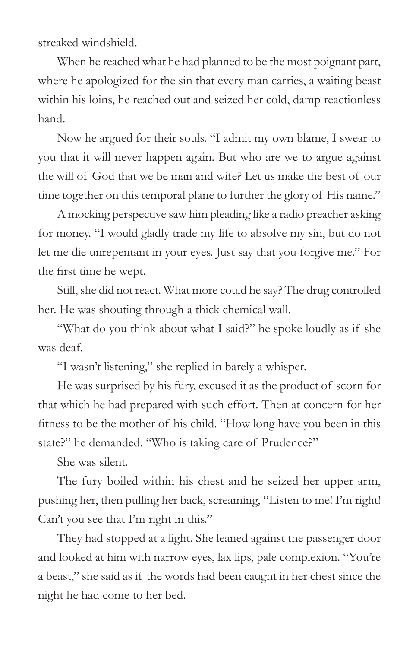streaked windshield.

When he reached what he had planned to be the most poignant part, where he apologized for the sin that every man carries, a waiting beast within his loins, he reached out and seized her cold, damp reactionless hand.

Now he argued for their souls. "I admit my own blame, I swear to you that it will never happen again. But who are we to argue against the will of God that we be man and wife? Let us make the best of our time together on this temporal plane to further the glory of His name."

A mocking perspective saw him pleading like a radio preacher asking for money. "I would gladly trade my life to absolve my sin, but do not let me die unrepentant in your eyes. Just say that you forgive me." For the first time he wept.

Still, she did not react. What more could he say? The drug controlled her. He was shouting through a thick chemical wall.

"What do you think about what I said?" he spoke loudly as if she was deaf.

"I wasn't listening," she replied in barely a whisper.

He was surprised by his fury, excused it as the product of scorn for that which he had prepared with such effort. Then at concern for her fitness to be the mother of his child. "How long have you been in this state?" he demanded. "Who is taking care of Prudence?"

She was silent.

The fury boiled within his chest and he seized her upper arm, pushing her, then pulling her back, screaming, "Listen to me! I'm right! Can't you see that I'm right in this."

They had stopped at a light. She leaned against the passenger door and looked at him with narrow eyes, lax lips, pale complexion. "You're a beast," she said as if the words had been caught in her chest since the night he had come to her bed.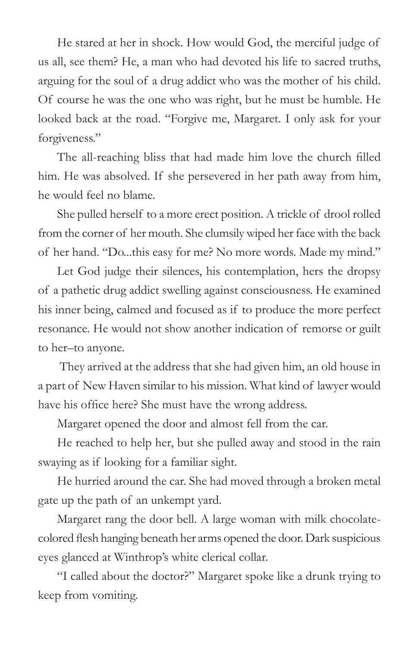He stared at her in shock. How would God, the merciful judge of us all, see them? He, a man who had devoted his life to sacred truths, arguing for the soul of a drug addict who was the mother of his child. Of course he was the one who was right, but he must be humble. He looked back at the road. "Forgive me, Margaret. I only ask for your forgiveness."

The all-reaching bliss that had made him love the church filled him. He was absolved. If she persevered in her path away from him, he would feel no blame.

She pulled herself to a more erect position. A trickle of drool rolled from the corner of her mouth. She clumsily wiped her face with the back of her hand. "Do...this easy for me? No more words. Made my mind."

Let God judge their silences, his contemplation, hers the dropsy of a pathetic drug addict swelling against consciousness. He examined his inner being, calmed and focused as if to produce the more perfect resonance. He would not show another indication of remorse or guilt to her–to anyone.

 They arrived at the address that she had given him, an old house in a part of New Haven similar to his mission. What kind of lawyer would have his office here? She must have the wrong address.

Margaret opened the door and almost fell from the car.

He reached to help her, but she pulled away and stood in the rain swaying as if looking for a familiar sight.

He hurried around the car. She had moved through a broken metal gate up the path of an unkempt yard.

Margaret rang the door bell. A large woman with milk chocolatecolored flesh hanging beneath her arms opened the door. Dark suspicious eyes glanced at Winthrop's white clerical collar.

"I called about the doctor?" Margaret spoke like a drunk trying to keep from vomiting.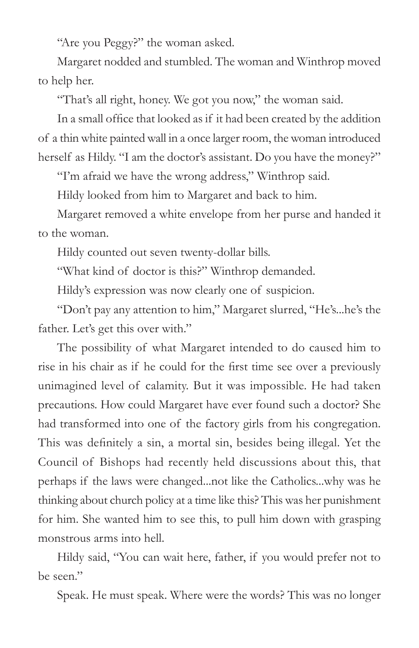"Are you Peggy?" the woman asked.

Margaret nodded and stumbled. The woman and Winthrop moved to help her.

"That's all right, honey. We got you now," the woman said.

In a small office that looked as if it had been created by the addition of a thin white painted wall in a once larger room, the woman introduced herself as Hildy. "I am the doctor's assistant. Do you have the money?"

"I'm afraid we have the wrong address," Winthrop said.

Hildy looked from him to Margaret and back to him.

Margaret removed a white envelope from her purse and handed it to the woman.

Hildy counted out seven twenty-dollar bills.

"What kind of doctor is this?" Winthrop demanded.

Hildy's expression was now clearly one of suspicion.

"Don't pay any attention to him," Margaret slurred, "He's...he's the father. Let's get this over with."

The possibility of what Margaret intended to do caused him to rise in his chair as if he could for the first time see over a previously unimagined level of calamity. But it was impossible. He had taken precautions. How could Margaret have ever found such a doctor? She had transformed into one of the factory girls from his congregation. This was definitely a sin, a mortal sin, besides being illegal. Yet the Council of Bishops had recently held discussions about this, that perhaps if the laws were changed...not like the Catholics...why was he thinking about church policy at a time like this? This was her punishment for him. She wanted him to see this, to pull him down with grasping monstrous arms into hell.

Hildy said, "You can wait here, father, if you would prefer not to be seen."

Speak. He must speak. Where were the words? This was no longer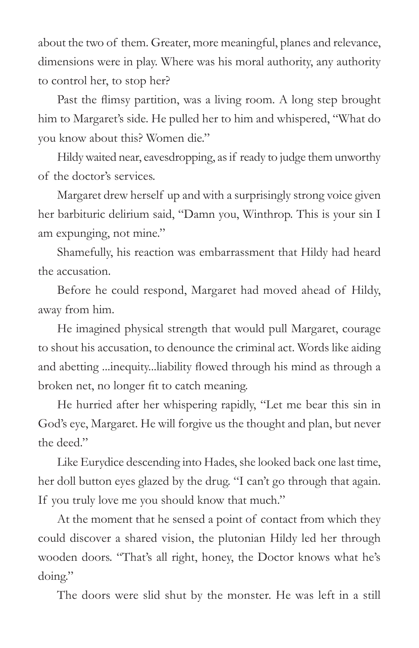about the two of them. Greater, more meaningful, planes and relevance, dimensions were in play. Where was his moral authority, any authority to control her, to stop her?

Past the flimsy partition, was a living room. A long step brought him to Margaret's side. He pulled her to him and whispered, "What do you know about this? Women die."

Hildy waited near, eavesdropping, as if ready to judge them unworthy of the doctor's services.

Margaret drew herself up and with a surprisingly strong voice given her barbituric delirium said, "Damn you, Winthrop. This is your sin I am expunging, not mine."

Shamefully, his reaction was embarrassment that Hildy had heard the accusation.

Before he could respond, Margaret had moved ahead of Hildy, away from him.

He imagined physical strength that would pull Margaret, courage to shout his accusation, to denounce the criminal act. Words like aiding and abetting ...inequity...liability flowed through his mind as through a broken net, no longer fit to catch meaning.

He hurried after her whispering rapidly, "Let me bear this sin in God's eye, Margaret. He will forgive us the thought and plan, but never the deed"

Like Eurydice descending into Hades, she looked back one last time, her doll button eyes glazed by the drug. "I can't go through that again. If you truly love me you should know that much."

At the moment that he sensed a point of contact from which they could discover a shared vision, the plutonian Hildy led her through wooden doors. "That's all right, honey, the Doctor knows what he's doing."

The doors were slid shut by the monster. He was left in a still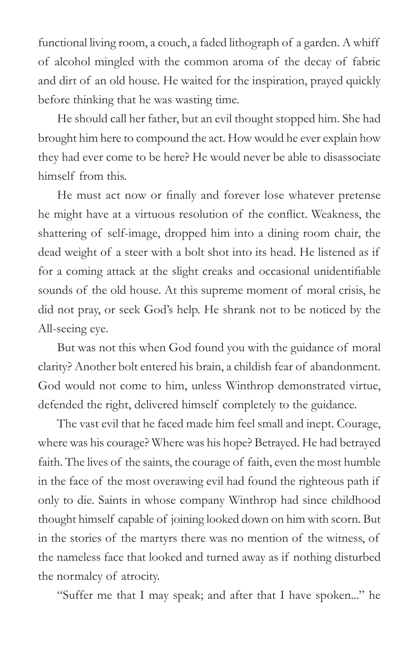functional living room, a couch, a faded lithograph of a garden. A whiff of alcohol mingled with the common aroma of the decay of fabric and dirt of an old house. He waited for the inspiration, prayed quickly before thinking that he was wasting time.

He should call her father, but an evil thought stopped him. She had brought him here to compound the act. How would he ever explain how they had ever come to be here? He would never be able to disassociate himself from this.

He must act now or finally and forever lose whatever pretense he might have at a virtuous resolution of the conflict. Weakness, the shattering of self-image, dropped him into a dining room chair, the dead weight of a steer with a bolt shot into its head. He listened as if for a coming attack at the slight creaks and occasional unidentifiable sounds of the old house. At this supreme moment of moral crisis, he did not pray, or seek God's help. He shrank not to be noticed by the All-seeing eye.

But was not this when God found you with the guidance of moral clarity? Another bolt entered his brain, a childish fear of abandonment. God would not come to him, unless Winthrop demonstrated virtue, defended the right, delivered himself completely to the guidance.

The vast evil that he faced made him feel small and inept. Courage, where was his courage? Where was his hope? Betrayed. He had betrayed faith. The lives of the saints, the courage of faith, even the most humble in the face of the most overawing evil had found the righteous path if only to die. Saints in whose company Winthrop had since childhood thought himself capable of joining looked down on him with scorn. But in the stories of the martyrs there was no mention of the witness, of the nameless face that looked and turned away as if nothing disturbed the normalcy of atrocity.

"Suffer me that I may speak; and after that I have spoken..." he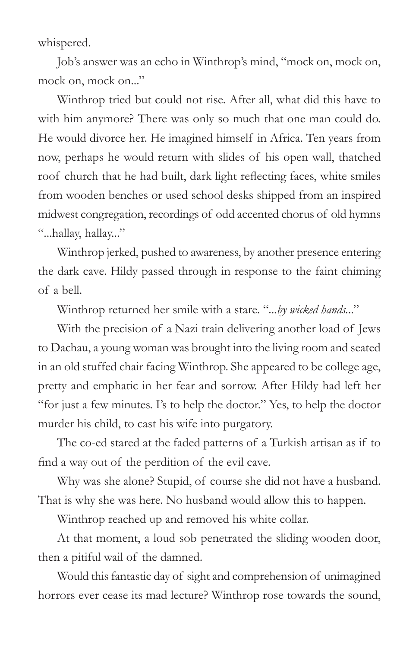whispered.

Job's answer was an echo in Winthrop's mind, "mock on, mock on, mock on, mock on..."

Winthrop tried but could not rise. After all, what did this have to with him anymore? There was only so much that one man could do. He would divorce her. He imagined himself in Africa. Ten years from now, perhaps he would return with slides of his open wall, thatched roof church that he had built, dark light reflecting faces, white smiles from wooden benches or used school desks shipped from an inspired midwest congregation, recordings of odd accented chorus of old hymns "...hallay, hallay..."

Winthrop jerked, pushed to awareness, by another presence entering the dark cave. Hildy passed through in response to the faint chiming of a bell.

Winthrop returned her smile with a stare. "*...by wicked hands.*.."

With the precision of a Nazi train delivering another load of Jews to Dachau, a young woman was brought into the living room and seated in an old stuffed chair facing Winthrop. She appeared to be college age, pretty and emphatic in her fear and sorrow. After Hildy had left her "for just a few minutes. I's to help the doctor." Yes, to help the doctor murder his child, to cast his wife into purgatory.

The co-ed stared at the faded patterns of a Turkish artisan as if to find a way out of the perdition of the evil cave.

Why was she alone? Stupid, of course she did not have a husband. That is why she was here. No husband would allow this to happen.

Winthrop reached up and removed his white collar.

At that moment, a loud sob penetrated the sliding wooden door, then a pitiful wail of the damned.

Would this fantastic day of sight and comprehension of unimagined horrors ever cease its mad lecture? Winthrop rose towards the sound,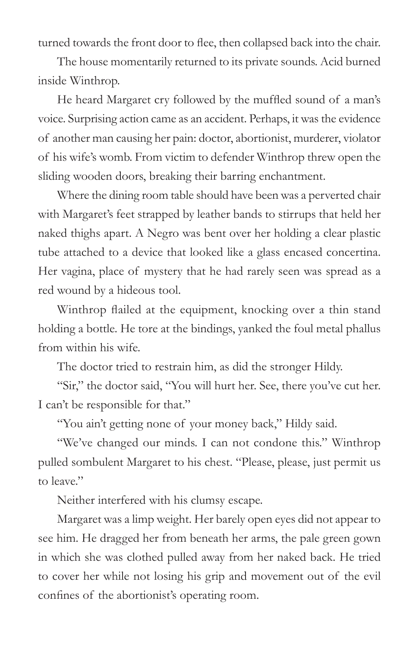turned towards the front door to flee, then collapsed back into the chair.

The house momentarily returned to its private sounds. Acid burned inside Winthrop.

He heard Margaret cry followed by the muffled sound of a man's voice. Surprising action came as an accident. Perhaps, it was the evidence of another man causing her pain: doctor, abortionist, murderer, violator of his wife's womb. From victim to defender Winthrop threw open the sliding wooden doors, breaking their barring enchantment.

Where the dining room table should have been was a perverted chair with Margaret's feet strapped by leather bands to stirrups that held her naked thighs apart. A Negro was bent over her holding a clear plastic tube attached to a device that looked like a glass encased concertina. Her vagina, place of mystery that he had rarely seen was spread as a red wound by a hideous tool.

Winthrop flailed at the equipment, knocking over a thin stand holding a bottle. He tore at the bindings, yanked the foul metal phallus from within his wife.

The doctor tried to restrain him, as did the stronger Hildy.

"Sir," the doctor said, "You will hurt her. See, there you've cut her. I can't be responsible for that."

"You ain't getting none of your money back," Hildy said.

"We've changed our minds. I can not condone this." Winthrop pulled sombulent Margaret to his chest. "Please, please, just permit us to leave"

Neither interfered with his clumsy escape.

Margaret was a limp weight. Her barely open eyes did not appear to see him. He dragged her from beneath her arms, the pale green gown in which she was clothed pulled away from her naked back. He tried to cover her while not losing his grip and movement out of the evil confines of the abortionist's operating room.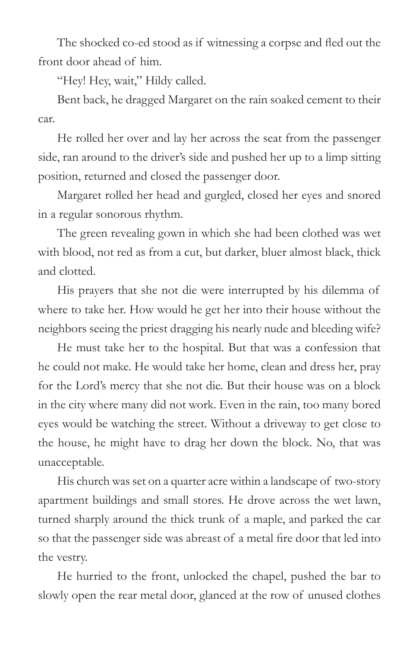The shocked co-ed stood as if witnessing a corpse and fled out the front door ahead of him.

"Hey! Hey, wait," Hildy called.

Bent back, he dragged Margaret on the rain soaked cement to their car.

He rolled her over and lay her across the seat from the passenger side, ran around to the driver's side and pushed her up to a limp sitting position, returned and closed the passenger door.

Margaret rolled her head and gurgled, closed her eyes and snored in a regular sonorous rhythm.

The green revealing gown in which she had been clothed was wet with blood, not red as from a cut, but darker, bluer almost black, thick and clotted.

His prayers that she not die were interrupted by his dilemma of where to take her. How would he get her into their house without the neighbors seeing the priest dragging his nearly nude and bleeding wife?

He must take her to the hospital. But that was a confession that he could not make. He would take her home, clean and dress her, pray for the Lord's mercy that she not die. But their house was on a block in the city where many did not work. Even in the rain, too many bored eyes would be watching the street. Without a driveway to get close to the house, he might have to drag her down the block. No, that was unacceptable.

His church was set on a quarter acre within a landscape of two-story apartment buildings and small stores. He drove across the wet lawn, turned sharply around the thick trunk of a maple, and parked the car so that the passenger side was abreast of a metal fire door that led into the vestry.

He hurried to the front, unlocked the chapel, pushed the bar to slowly open the rear metal door, glanced at the row of unused clothes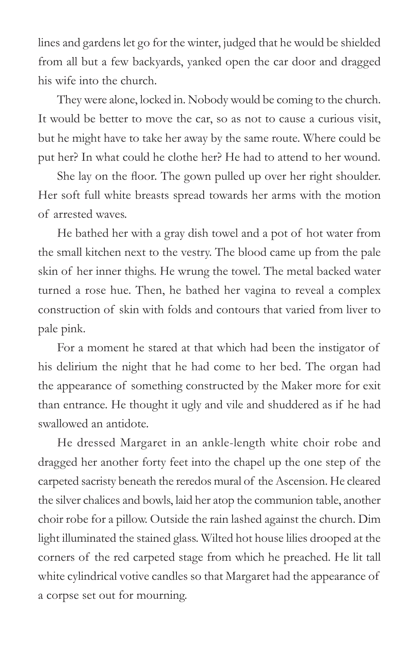lines and gardens let go for the winter, judged that he would be shielded from all but a few backyards, yanked open the car door and dragged his wife into the church.

They were alone, locked in. Nobody would be coming to the church. It would be better to move the car, so as not to cause a curious visit, but he might have to take her away by the same route. Where could be put her? In what could he clothe her? He had to attend to her wound.

She lay on the floor. The gown pulled up over her right shoulder. Her soft full white breasts spread towards her arms with the motion of arrested waves.

He bathed her with a gray dish towel and a pot of hot water from the small kitchen next to the vestry. The blood came up from the pale skin of her inner thighs. He wrung the towel. The metal backed water turned a rose hue. Then, he bathed her vagina to reveal a complex construction of skin with folds and contours that varied from liver to pale pink.

For a moment he stared at that which had been the instigator of his delirium the night that he had come to her bed. The organ had the appearance of something constructed by the Maker more for exit than entrance. He thought it ugly and vile and shuddered as if he had swallowed an antidote.

He dressed Margaret in an ankle-length white choir robe and dragged her another forty feet into the chapel up the one step of the carpeted sacristy beneath the reredos mural of the Ascension. He cleared the silver chalices and bowls, laid her atop the communion table, another choir robe for a pillow. Outside the rain lashed against the church. Dim light illuminated the stained glass. Wilted hot house lilies drooped at the corners of the red carpeted stage from which he preached. He lit tall white cylindrical votive candles so that Margaret had the appearance of a corpse set out for mourning.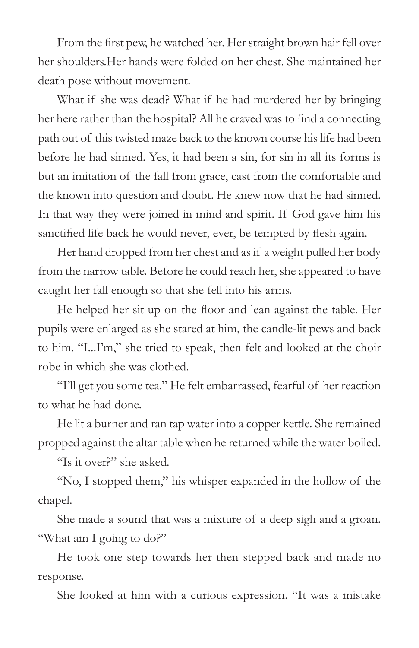From the first pew, he watched her. Her straight brown hair fell over her shoulders.Her hands were folded on her chest. She maintained her death pose without movement.

What if she was dead? What if he had murdered her by bringing her here rather than the hospital? All he craved was to find a connecting path out of this twisted maze back to the known course his life had been before he had sinned. Yes, it had been a sin, for sin in all its forms is but an imitation of the fall from grace, cast from the comfortable and the known into question and doubt. He knew now that he had sinned. In that way they were joined in mind and spirit. If God gave him his sanctified life back he would never, ever, be tempted by flesh again.

Her hand dropped from her chest and as if a weight pulled her body from the narrow table. Before he could reach her, she appeared to have caught her fall enough so that she fell into his arms.

He helped her sit up on the floor and lean against the table. Her pupils were enlarged as she stared at him, the candle-lit pews and back to him. "I...I'm," she tried to speak, then felt and looked at the choir robe in which she was clothed.

"I'll get you some tea." He felt embarrassed, fearful of her reaction to what he had done.

He lit a burner and ran tap water into a copper kettle. She remained propped against the altar table when he returned while the water boiled.

"Is it over?" she asked.

"No, I stopped them," his whisper expanded in the hollow of the chapel.

She made a sound that was a mixture of a deep sigh and a groan. "What am I going to do?"

He took one step towards her then stepped back and made no response.

She looked at him with a curious expression. "It was a mistake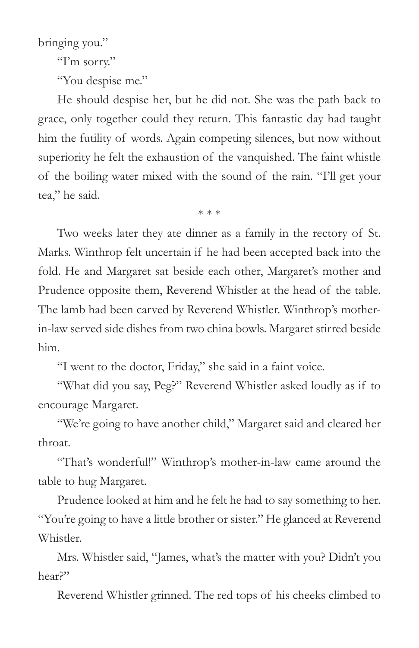bringing you."

"I'm sorry."

"You despise me."

He should despise her, but he did not. She was the path back to grace, only together could they return. This fantastic day had taught him the futility of words. Again competing silences, but now without superiority he felt the exhaustion of the vanquished. The faint whistle of the boiling water mixed with the sound of the rain. "I'll get your tea," he said.

\* \* \*

Two weeks later they ate dinner as a family in the rectory of St. Marks. Winthrop felt uncertain if he had been accepted back into the fold. He and Margaret sat beside each other, Margaret's mother and Prudence opposite them, Reverend Whistler at the head of the table. The lamb had been carved by Reverend Whistler. Winthrop's motherin-law served side dishes from two china bowls. Margaret stirred beside him.

"I went to the doctor, Friday," she said in a faint voice.

"What did you say, Peg?" Reverend Whistler asked loudly as if to encourage Margaret.

"We're going to have another child," Margaret said and cleared her throat.

"That's wonderful!" Winthrop's mother-in-law came around the table to hug Margaret.

Prudence looked at him and he felt he had to say something to her. "You're going to have a little brother or sister." He glanced at Reverend Whistler.

Mrs. Whistler said, "James, what's the matter with you? Didn't you hear?"

Reverend Whistler grinned. The red tops of his cheeks climbed to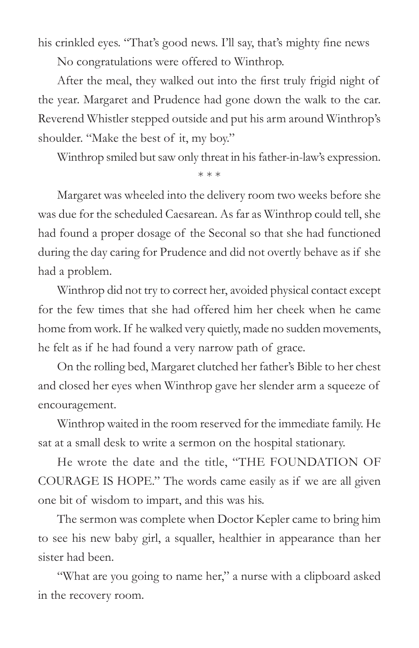his crinkled eyes. "That's good news. I'll say, that's mighty fine news

No congratulations were offered to Winthrop.

After the meal, they walked out into the first truly frigid night of the year. Margaret and Prudence had gone down the walk to the car. Reverend Whistler stepped outside and put his arm around Winthrop's shoulder. "Make the best of it, my boy."

Winthrop smiled but saw only threat in his father-in-law's expression.

\* \* \*

Margaret was wheeled into the delivery room two weeks before she was due for the scheduled Caesarean. As far as Winthrop could tell, she had found a proper dosage of the Seconal so that she had functioned during the day caring for Prudence and did not overtly behave as if she had a problem.

Winthrop did not try to correct her, avoided physical contact except for the few times that she had offered him her cheek when he came home from work. If he walked very quietly, made no sudden movements, he felt as if he had found a very narrow path of grace.

On the rolling bed, Margaret clutched her father's Bible to her chest and closed her eyes when Winthrop gave her slender arm a squeeze of encouragement.

Winthrop waited in the room reserved for the immediate family. He sat at a small desk to write a sermon on the hospital stationary.

He wrote the date and the title, "THE FOUNDATION OF COURAGE IS HOPE." The words came easily as if we are all given one bit of wisdom to impart, and this was his.

The sermon was complete when Doctor Kepler came to bring him to see his new baby girl, a squaller, healthier in appearance than her sister had been.

"What are you going to name her," a nurse with a clipboard asked in the recovery room.